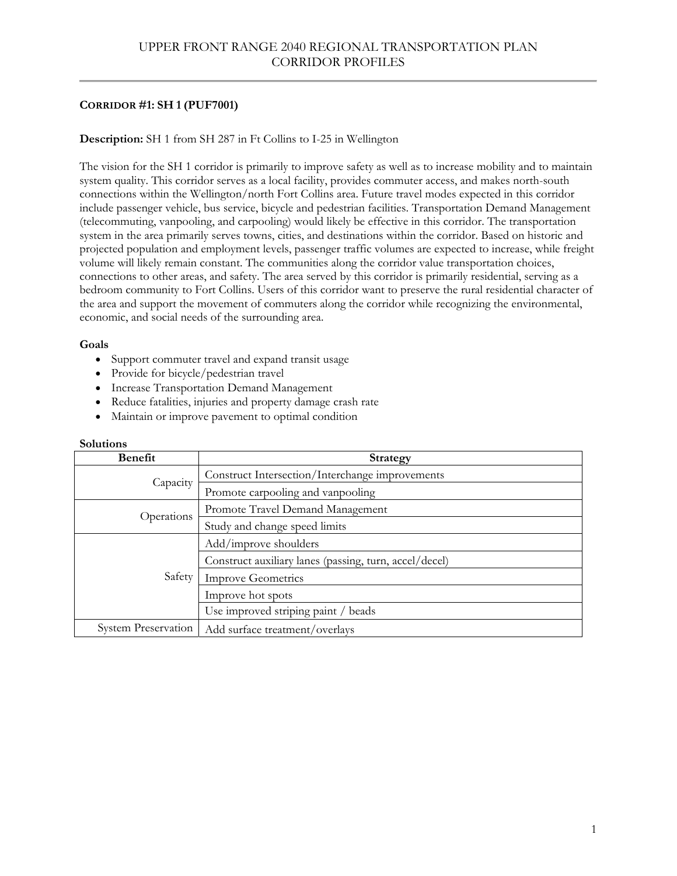# **CORRIDOR #1: SH 1 (PUF7001)**

# **Description:** SH 1 from SH 287 in Ft Collins to I-25 in Wellington

The vision for the SH 1 corridor is primarily to improve safety as well as to increase mobility and to maintain system quality. This corridor serves as a local facility, provides commuter access, and makes north-south connections within the Wellington/north Fort Collins area. Future travel modes expected in this corridor include passenger vehicle, bus service, bicycle and pedestrian facilities. Transportation Demand Management (telecommuting, vanpooling, and carpooling) would likely be effective in this corridor. The transportation system in the area primarily serves towns, cities, and destinations within the corridor. Based on historic and projected population and employment levels, passenger traffic volumes are expected to increase, while freight volume will likely remain constant. The communities along the corridor value transportation choices, connections to other areas, and safety. The area served by this corridor is primarily residential, serving as a bedroom community to Fort Collins. Users of this corridor want to preserve the rural residential character of the area and support the movement of commuters along the corridor while recognizing the environmental, economic, and social needs of the surrounding area.

# **Goals**

- Support commuter travel and expand transit usage
- Provide for bicycle/pedestrian travel
- Increase Transportation Demand Management
- Reduce fatalities, injuries and property damage crash rate
- Maintain or improve pavement to optimal condition

| Benefit                    | <b>Strategy</b>                                        |
|----------------------------|--------------------------------------------------------|
| Capacity                   | Construct Intersection/Interchange improvements        |
|                            | Promote carpooling and vanpooling                      |
| Operations                 | Promote Travel Demand Management                       |
|                            | Study and change speed limits                          |
| Safety                     | Add/improve shoulders                                  |
|                            | Construct auxiliary lanes (passing, turn, accel/decel) |
|                            | <b>Improve Geometrics</b>                              |
|                            | Improve hot spots                                      |
|                            | Use improved striping paint / beads                    |
| <b>System Preservation</b> | Add surface treatment/overlays                         |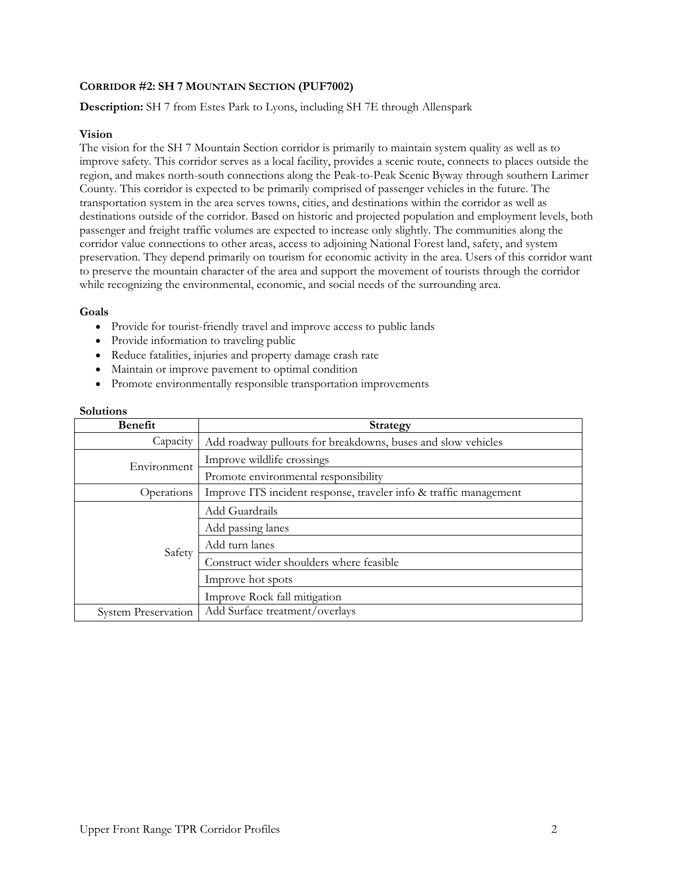# **CORRIDOR #2: SH 7 MOUNTAIN SECTION (PUF7002)**

**Description:** SH 7 from Estes Park to Lyons, including SH 7E through Allenspark

# **Vision**

The vision for the SH 7 Mountain Section corridor is primarily to maintain system quality as well as to improve safety. This corridor serves as a local facility, provides a scenic route, connects to places outside the region, and makes north-south connections along the Peak-to-Peak Scenic Byway through southern Larimer County. This corridor is expected to be primarily comprised of passenger vehicles in the future. The transportation system in the area serves towns, cities, and destinations within the corridor as well as destinations outside of the corridor. Based on historic and projected population and employment levels, both passenger and freight traffic volumes are expected to increase only slightly. The communities along the corridor value connections to other areas, access to adjoining National Forest land, safety, and system preservation. They depend primarily on tourism for economic activity in the area. Users of this corridor want to preserve the mountain character of the area and support the movement of tourists through the corridor while recognizing the environmental, economic, and social needs of the surrounding area.

### **Goals**

- Provide for tourist-friendly travel and improve access to public lands
- Provide information to traveling public
- Reduce fatalities, injuries and property damage crash rate
- Maintain or improve pavement to optimal condition
- Promote environmentally responsible transportation improvements

| <b>Benefit</b>             | <b>Strategy</b>                                                   |
|----------------------------|-------------------------------------------------------------------|
| Capacity                   | Add roadway pullouts for breakdowns, buses and slow vehicles      |
| Environment                | Improve wildlife crossings                                        |
|                            | Promote environmental responsibility                              |
| Operations                 | Improve ITS incident response, traveler info & traffic management |
| Safety                     | Add Guardrails                                                    |
|                            | Add passing lanes                                                 |
|                            | Add turn lanes                                                    |
|                            | Construct wider shoulders where feasible                          |
|                            | Improve hot spots                                                 |
|                            | Improve Rock fall mitigation                                      |
| <b>System Preservation</b> | Add Surface treatment/overlays                                    |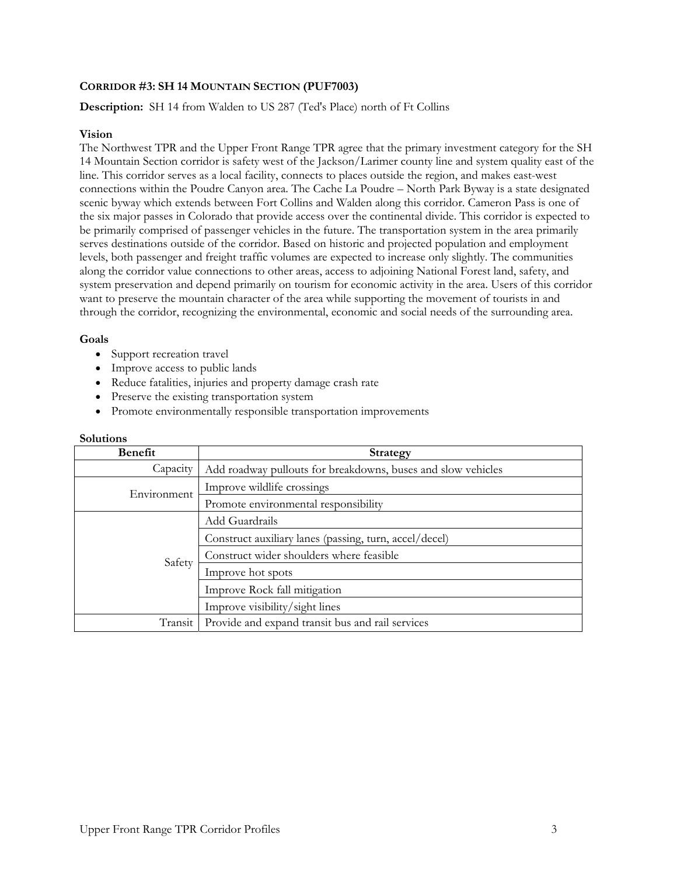# **CORRIDOR #3: SH 14 MOUNTAIN SECTION (PUF7003)**

# **Description:** SH 14 from Walden to US 287 (Ted's Place) north of Ft Collins

#### **Vision**

The Northwest TPR and the Upper Front Range TPR agree that the primary investment category for the SH 14 Mountain Section corridor is safety west of the Jackson/Larimer county line and system quality east of the line. This corridor serves as a local facility, connects to places outside the region, and makes east-west connections within the Poudre Canyon area. The Cache La Poudre – North Park Byway is a state designated scenic byway which extends between Fort Collins and Walden along this corridor. Cameron Pass is one of the six major passes in Colorado that provide access over the continental divide. This corridor is expected to be primarily comprised of passenger vehicles in the future. The transportation system in the area primarily serves destinations outside of the corridor. Based on historic and projected population and employment levels, both passenger and freight traffic volumes are expected to increase only slightly. The communities along the corridor value connections to other areas, access to adjoining National Forest land, safety, and system preservation and depend primarily on tourism for economic activity in the area. Users of this corridor want to preserve the mountain character of the area while supporting the movement of tourists in and through the corridor, recognizing the environmental, economic and social needs of the surrounding area.

#### **Goals**

- Support recreation travel
- Improve access to public lands
- Reduce fatalities, injuries and property damage crash rate
- Preserve the existing transportation system
- Promote environmentally responsible transportation improvements

| Benefit     | Strategy                                                     |
|-------------|--------------------------------------------------------------|
| Capacity    | Add roadway pullouts for breakdowns, buses and slow vehicles |
| Environment | Improve wildlife crossings                                   |
|             | Promote environmental responsibility                         |
| Safety      | Add Guardrails                                               |
|             | Construct auxiliary lanes (passing, turn, accel/decel)       |
|             | Construct wider shoulders where feasible                     |
|             | Improve hot spots                                            |
|             | Improve Rock fall mitigation                                 |
|             | Improve visibility/sight lines                               |
| Transit     | Provide and expand transit bus and rail services             |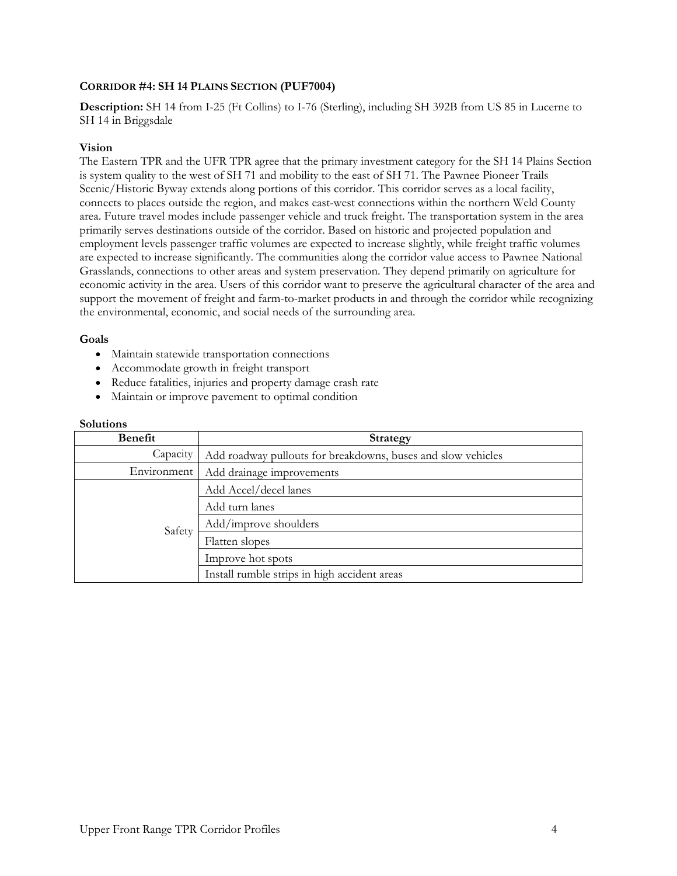# **CORRIDOR #4: SH 14 PLAINS SECTION (PUF7004)**

**Description:** SH 14 from I-25 (Ft Collins) to I-76 (Sterling), including SH 392B from US 85 in Lucerne to SH 14 in Briggsdale

### **Vision**

The Eastern TPR and the UFR TPR agree that the primary investment category for the SH 14 Plains Section is system quality to the west of SH 71 and mobility to the east of SH 71. The Pawnee Pioneer Trails Scenic/Historic Byway extends along portions of this corridor. This corridor serves as a local facility, connects to places outside the region, and makes east-west connections within the northern Weld County area. Future travel modes include passenger vehicle and truck freight. The transportation system in the area primarily serves destinations outside of the corridor. Based on historic and projected population and employment levels passenger traffic volumes are expected to increase slightly, while freight traffic volumes are expected to increase significantly. The communities along the corridor value access to Pawnee National Grasslands, connections to other areas and system preservation. They depend primarily on agriculture for economic activity in the area. Users of this corridor want to preserve the agricultural character of the area and support the movement of freight and farm-to-market products in and through the corridor while recognizing the environmental, economic, and social needs of the surrounding area.

#### **Goals**

- Maintain statewide transportation connections
- Accommodate growth in freight transport
- Reduce fatalities, injuries and property damage crash rate
- Maintain or improve pavement to optimal condition

| Benefit     | Strategy                                                     |
|-------------|--------------------------------------------------------------|
| Capacity    | Add roadway pullouts for breakdowns, buses and slow vehicles |
| Environment | Add drainage improvements                                    |
|             | Add Accel/decel lanes                                        |
| Safety      | Add turn lanes                                               |
|             | Add/improve shoulders                                        |
|             | Flatten slopes                                               |
|             | Improve hot spots                                            |
|             | Install rumble strips in high accident areas                 |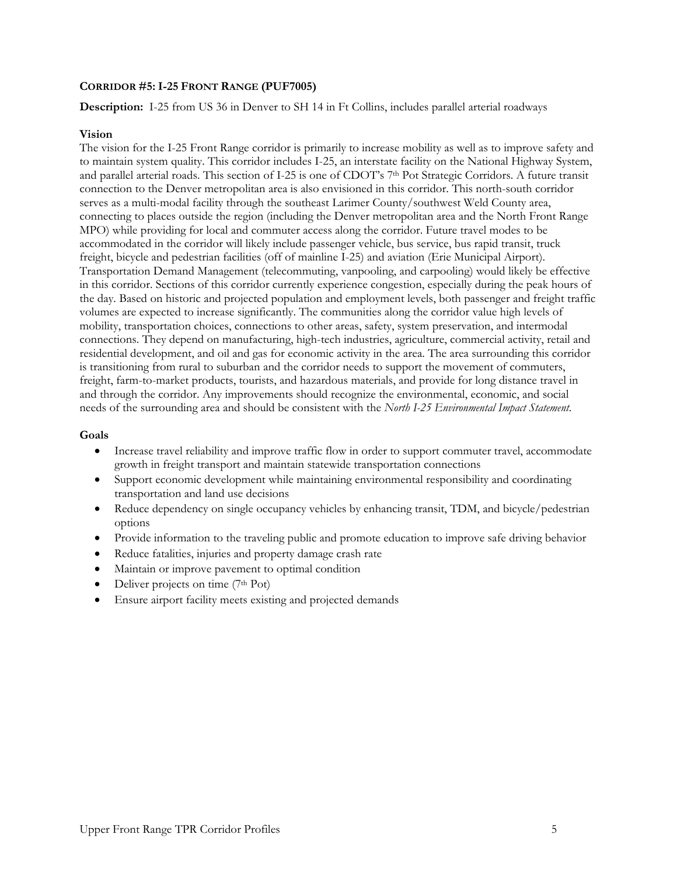# **CORRIDOR #5: I-25 FRONT RANGE (PUF7005)**

**Description:** I-25 from US 36 in Denver to SH 14 in Ft Collins, includes parallel arterial roadways

### **Vision**

The vision for the I-25 Front Range corridor is primarily to increase mobility as well as to improve safety and to maintain system quality. This corridor includes I-25, an interstate facility on the National Highway System, and parallel arterial roads. This section of I-25 is one of CDOT's 7<sup>th</sup> Pot Strategic Corridors. A future transit connection to the Denver metropolitan area is also envisioned in this corridor. This north-south corridor serves as a multi-modal facility through the southeast Larimer County/southwest Weld County area, connecting to places outside the region (including the Denver metropolitan area and the North Front Range MPO) while providing for local and commuter access along the corridor. Future travel modes to be accommodated in the corridor will likely include passenger vehicle, bus service, bus rapid transit, truck freight, bicycle and pedestrian facilities (off of mainline I-25) and aviation (Erie Municipal Airport). Transportation Demand Management (telecommuting, vanpooling, and carpooling) would likely be effective in this corridor. Sections of this corridor currently experience congestion, especially during the peak hours of the day. Based on historic and projected population and employment levels, both passenger and freight traffic volumes are expected to increase significantly. The communities along the corridor value high levels of mobility, transportation choices, connections to other areas, safety, system preservation, and intermodal connections. They depend on manufacturing, high-tech industries, agriculture, commercial activity, retail and residential development, and oil and gas for economic activity in the area. The area surrounding this corridor is transitioning from rural to suburban and the corridor needs to support the movement of commuters, freight, farm-to-market products, tourists, and hazardous materials, and provide for long distance travel in and through the corridor. Any improvements should recognize the environmental, economic, and social needs of the surrounding area and should be consistent with the *North I-25 Environmental Impact Statement*.

### **Goals**

- Increase travel reliability and improve traffic flow in order to support commuter travel, accommodate growth in freight transport and maintain statewide transportation connections
- Support economic development while maintaining environmental responsibility and coordinating transportation and land use decisions
- Reduce dependency on single occupancy vehicles by enhancing transit, TDM, and bicycle/pedestrian options
- Provide information to the traveling public and promote education to improve safe driving behavior
- Reduce fatalities, injuries and property damage crash rate
- Maintain or improve pavement to optimal condition
- Deliver projects on time (7th Pot)
- Ensure airport facility meets existing and projected demands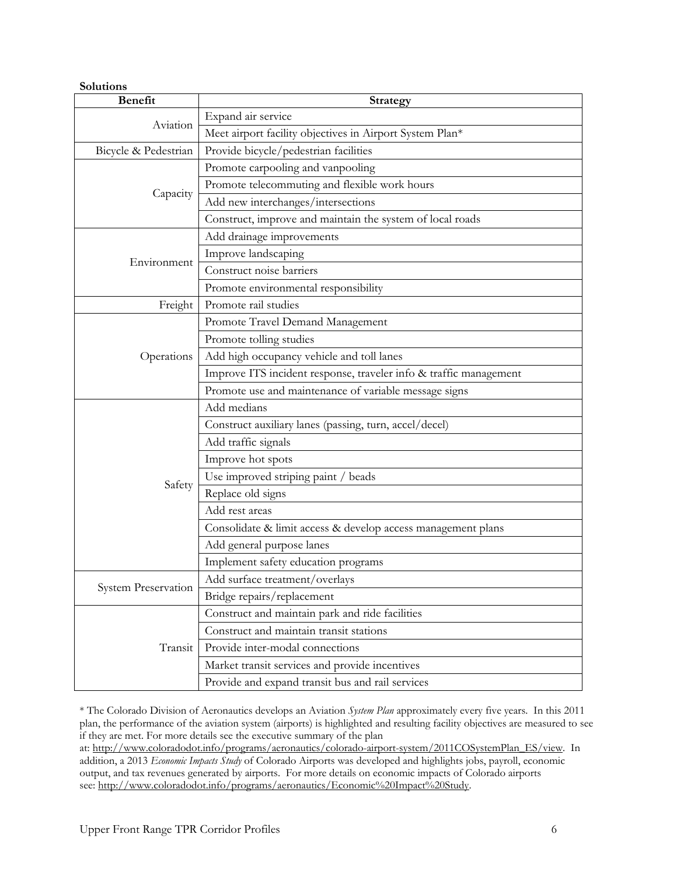| Solutions            |                                                                   |
|----------------------|-------------------------------------------------------------------|
| <b>Benefit</b>       | <b>Strategy</b>                                                   |
| Aviation             | Expand air service                                                |
|                      | Meet airport facility objectives in Airport System Plan*          |
| Bicycle & Pedestrian | Provide bicycle/pedestrian facilities                             |
|                      | Promote carpooling and vanpooling                                 |
|                      | Promote telecommuting and flexible work hours                     |
| Capacity             | Add new interchanges/intersections                                |
|                      | Construct, improve and maintain the system of local roads         |
|                      | Add drainage improvements                                         |
|                      | Improve landscaping                                               |
| Environment          | Construct noise barriers                                          |
|                      | Promote environmental responsibility                              |
| Freight              | Promote rail studies                                              |
|                      | Promote Travel Demand Management                                  |
|                      | Promote tolling studies                                           |
| Operations           | Add high occupancy vehicle and toll lanes                         |
|                      | Improve ITS incident response, traveler info & traffic management |
|                      | Promote use and maintenance of variable message signs             |
|                      | Add medians                                                       |
|                      | Construct auxiliary lanes (passing, turn, accel/decel)            |
|                      | Add traffic signals                                               |
|                      | Improve hot spots                                                 |
|                      | Use improved striping paint / beads                               |
| Safety               | Replace old signs                                                 |
|                      | Add rest areas                                                    |
|                      | Consolidate & limit access & develop access management plans      |
|                      | Add general purpose lanes                                         |
|                      | Implement safety education programs                               |
|                      | Add surface treatment/overlays                                    |
| System Preservation  | Bridge repairs/replacement                                        |
|                      | Construct and maintain park and ride facilities                   |
|                      | Construct and maintain transit stations                           |
| Transit              | Provide inter-modal connections                                   |
|                      | Market transit services and provide incentives                    |
|                      | Provide and expand transit bus and rail services                  |

\* The Colorado Division of Aeronautics develops an Aviation *System Plan* approximately every five years. In this 2011 plan, the performance of the aviation system (airports) is highlighted and resulting facility objectives are measured to see if they are met. For more details see the executive summary of the plan

at: http://www.coloradodot.info/programs/aeronautics/colorado-airport-system/2011COSystemPlan\_ES/view. In addition, a 2013 *Economic Impacts Study* of Colorado Airports was developed and highlights jobs, payroll, economic output, and tax revenues generated by airports. For more details on economic impacts of Colorado airports see: http://www.coloradodot.info/programs/aeronautics/Economic%20Impact%20Study.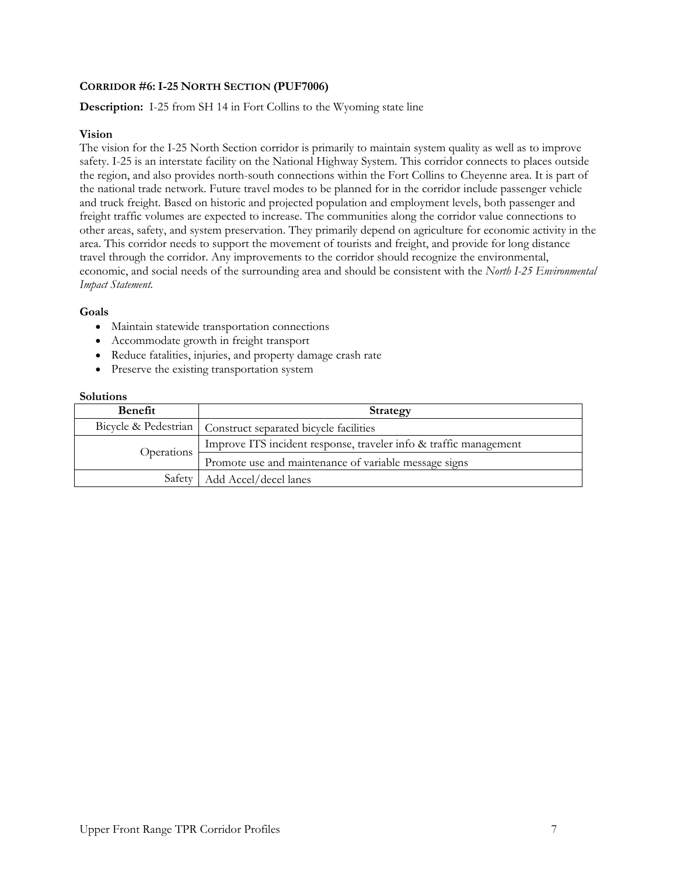# **CORRIDOR #6: I-25 NORTH SECTION (PUF7006)**

# **Description:** I-25 from SH 14 in Fort Collins to the Wyoming state line

# **Vision**

The vision for the I-25 North Section corridor is primarily to maintain system quality as well as to improve safety. I-25 is an interstate facility on the National Highway System. This corridor connects to places outside the region, and also provides north-south connections within the Fort Collins to Cheyenne area. It is part of the national trade network. Future travel modes to be planned for in the corridor include passenger vehicle and truck freight. Based on historic and projected population and employment levels, both passenger and freight traffic volumes are expected to increase. The communities along the corridor value connections to other areas, safety, and system preservation. They primarily depend on agriculture for economic activity in the area. This corridor needs to support the movement of tourists and freight, and provide for long distance travel through the corridor. Any improvements to the corridor should recognize the environmental, economic, and social needs of the surrounding area and should be consistent with the *North I-25 Environmental Impact Statement.* 

# **Goals**

- Maintain statewide transportation connections
- Accommodate growth in freight transport
- Reduce fatalities, injuries, and property damage crash rate
- Preserve the existing transportation system

| <b>Benefit</b> | Strategy                                                          |
|----------------|-------------------------------------------------------------------|
|                | Bicycle & Pedestrian   Construct separated bicycle facilities     |
| Operations     | Improve ITS incident response, traveler info & traffic management |
|                | Promote use and maintenance of variable message signs             |
|                | Safety   Add Accel/decel lanes                                    |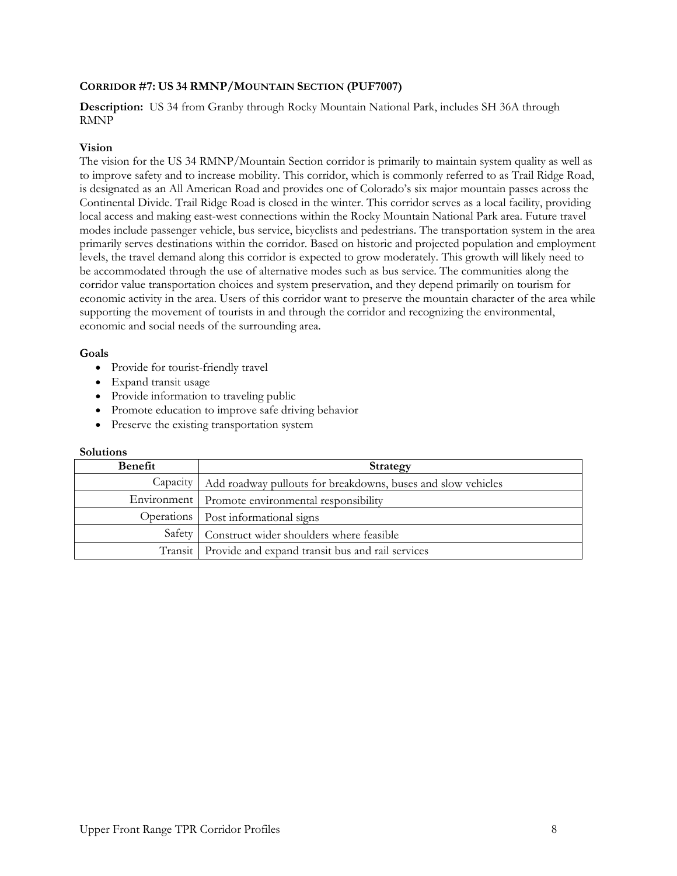# **CORRIDOR #7: US 34 RMNP/MOUNTAIN SECTION (PUF7007)**

# **Description:** US 34 from Granby through Rocky Mountain National Park, includes SH 36A through RMNP

### **Vision**

The vision for the US 34 RMNP/Mountain Section corridor is primarily to maintain system quality as well as to improve safety and to increase mobility. This corridor, which is commonly referred to as Trail Ridge Road, is designated as an All American Road and provides one of Colorado's six major mountain passes across the Continental Divide. Trail Ridge Road is closed in the winter. This corridor serves as a local facility, providing local access and making east-west connections within the Rocky Mountain National Park area. Future travel modes include passenger vehicle, bus service, bicyclists and pedestrians. The transportation system in the area primarily serves destinations within the corridor. Based on historic and projected population and employment levels, the travel demand along this corridor is expected to grow moderately. This growth will likely need to be accommodated through the use of alternative modes such as bus service. The communities along the corridor value transportation choices and system preservation, and they depend primarily on tourism for economic activity in the area. Users of this corridor want to preserve the mountain character of the area while supporting the movement of tourists in and through the corridor and recognizing the environmental, economic and social needs of the surrounding area.

# **Goals**

- Provide for tourist-friendly travel
- Expand transit usage
- Provide information to traveling public
- Promote education to improve safe driving behavior
- Preserve the existing transportation system

| <b>Benefit</b> | Strategy                                                     |
|----------------|--------------------------------------------------------------|
| Capacity       | Add roadway pullouts for breakdowns, buses and slow vehicles |
| Environment    | Promote environmental responsibility                         |
| Operations     | Post informational signs                                     |
| Safety         | Construct wider shoulders where feasible                     |
|                | Transit   Provide and expand transit bus and rail services   |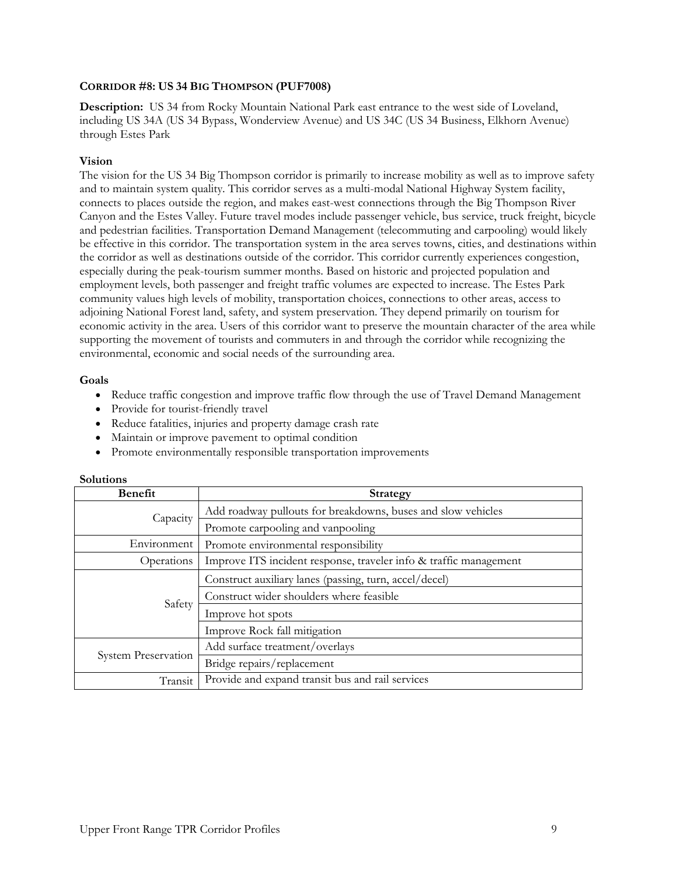# **CORRIDOR #8: US 34 BIG THOMPSON (PUF7008)**

**Description:** US 34 from Rocky Mountain National Park east entrance to the west side of Loveland, including US 34A (US 34 Bypass, Wonderview Avenue) and US 34C (US 34 Business, Elkhorn Avenue) through Estes Park

# **Vision**

The vision for the US 34 Big Thompson corridor is primarily to increase mobility as well as to improve safety and to maintain system quality. This corridor serves as a multi-modal National Highway System facility, connects to places outside the region, and makes east-west connections through the Big Thompson River Canyon and the Estes Valley. Future travel modes include passenger vehicle, bus service, truck freight, bicycle and pedestrian facilities. Transportation Demand Management (telecommuting and carpooling) would likely be effective in this corridor. The transportation system in the area serves towns, cities, and destinations within the corridor as well as destinations outside of the corridor. This corridor currently experiences congestion, especially during the peak-tourism summer months. Based on historic and projected population and employment levels, both passenger and freight traffic volumes are expected to increase. The Estes Park community values high levels of mobility, transportation choices, connections to other areas, access to adjoining National Forest land, safety, and system preservation. They depend primarily on tourism for economic activity in the area. Users of this corridor want to preserve the mountain character of the area while supporting the movement of tourists and commuters in and through the corridor while recognizing the environmental, economic and social needs of the surrounding area.

### **Goals**

- Reduce traffic congestion and improve traffic flow through the use of Travel Demand Management
- Provide for tourist-friendly travel
- Reduce fatalities, injuries and property damage crash rate
- Maintain or improve pavement to optimal condition
- Promote environmentally responsible transportation improvements

| <b>Benefit</b>      | <b>Strategy</b>                                                   |
|---------------------|-------------------------------------------------------------------|
| Capacity            | Add roadway pullouts for breakdowns, buses and slow vehicles      |
|                     | Promote carpooling and vanpooling                                 |
| Environment         | Promote environmental responsibility                              |
| Operations          | Improve ITS incident response, traveler info & traffic management |
|                     | Construct auxiliary lanes (passing, turn, accel/decel)            |
| Safety              | Construct wider shoulders where feasible                          |
|                     | Improve hot spots                                                 |
|                     | Improve Rock fall mitigation                                      |
| System Preservation | Add surface treatment/overlays                                    |
|                     | Bridge repairs/replacement                                        |
| Transit             | Provide and expand transit bus and rail services                  |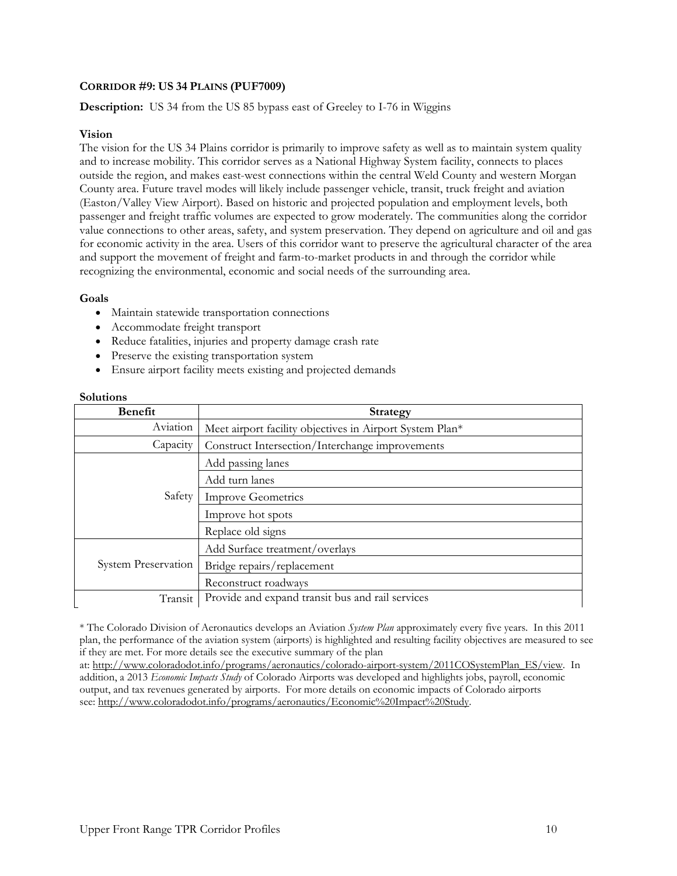# **CORRIDOR #9: US 34 PLAINS (PUF7009)**

**Description:** US 34 from the US 85 bypass east of Greeley to I-76 in Wiggins

### **Vision**

The vision for the US 34 Plains corridor is primarily to improve safety as well as to maintain system quality and to increase mobility. This corridor serves as a National Highway System facility, connects to places outside the region, and makes east-west connections within the central Weld County and western Morgan County area. Future travel modes will likely include passenger vehicle, transit, truck freight and aviation (Easton/Valley View Airport). Based on historic and projected population and employment levels, both passenger and freight traffic volumes are expected to grow moderately. The communities along the corridor value connections to other areas, safety, and system preservation. They depend on agriculture and oil and gas for economic activity in the area. Users of this corridor want to preserve the agricultural character of the area and support the movement of freight and farm-to-market products in and through the corridor while recognizing the environmental, economic and social needs of the surrounding area.

### **Goals**

- Maintain statewide transportation connections
- Accommodate freight transport
- Reduce fatalities, injuries and property damage crash rate
- Preserve the existing transportation system
- Ensure airport facility meets existing and projected demands

### **Solutions**

| <b>Benefit</b>             | <b>Strategy</b>                                          |
|----------------------------|----------------------------------------------------------|
| Aviation                   | Meet airport facility objectives in Airport System Plan* |
| Capacity                   | Construct Intersection/Interchange improvements          |
| Safety                     | Add passing lanes                                        |
|                            | Add turn lanes                                           |
|                            | <b>Improve Geometrics</b>                                |
|                            | Improve hot spots                                        |
|                            | Replace old signs                                        |
| <b>System Preservation</b> | Add Surface treatment/overlays                           |
|                            | Bridge repairs/replacement                               |
|                            | Reconstruct roadways                                     |
| Transit                    | Provide and expand transit bus and rail services         |

\* The Colorado Division of Aeronautics develops an Aviation *System Plan* approximately every five years. In this 2011 plan, the performance of the aviation system (airports) is highlighted and resulting facility objectives are measured to see if they are met. For more details see the executive summary of the plan

at: http://www.coloradodot.info/programs/aeronautics/colorado-airport-system/2011COSystemPlan\_ES/view. In addition, a 2013 *Economic Impacts Study* of Colorado Airports was developed and highlights jobs, payroll, economic output, and tax revenues generated by airports. For more details on economic impacts of Colorado airports see: http://www.coloradodot.info/programs/aeronautics/Economic%20Impact%20Study.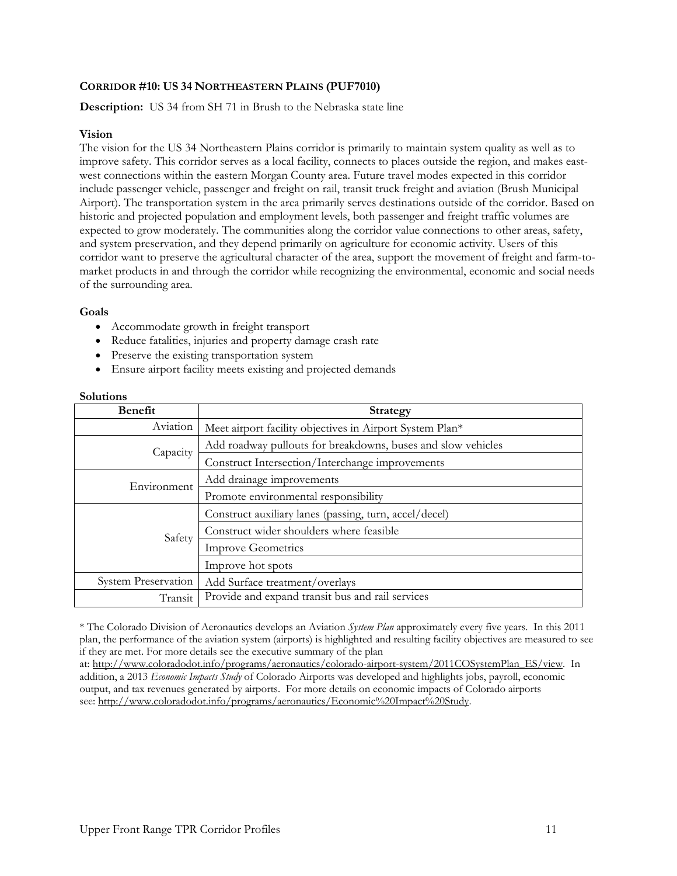# **CORRIDOR #10: US 34 NORTHEASTERN PLAINS (PUF7010)**

**Description:** US 34 from SH 71 in Brush to the Nebraska state line

### **Vision**

The vision for the US 34 Northeastern Plains corridor is primarily to maintain system quality as well as to improve safety. This corridor serves as a local facility, connects to places outside the region, and makes eastwest connections within the eastern Morgan County area. Future travel modes expected in this corridor include passenger vehicle, passenger and freight on rail, transit truck freight and aviation (Brush Municipal Airport). The transportation system in the area primarily serves destinations outside of the corridor. Based on historic and projected population and employment levels, both passenger and freight traffic volumes are expected to grow moderately. The communities along the corridor value connections to other areas, safety, and system preservation, and they depend primarily on agriculture for economic activity. Users of this corridor want to preserve the agricultural character of the area, support the movement of freight and farm-tomarket products in and through the corridor while recognizing the environmental, economic and social needs of the surrounding area.

### **Goals**

- Accommodate growth in freight transport
- Reduce fatalities, injuries and property damage crash rate
- Preserve the existing transportation system
- Ensure airport facility meets existing and projected demands

### **Solutions**

| <b>Benefit</b>             | <b>Strategy</b>                                              |
|----------------------------|--------------------------------------------------------------|
| Aviation                   | Meet airport facility objectives in Airport System Plan*     |
| Capacity                   | Add roadway pullouts for breakdowns, buses and slow vehicles |
|                            | Construct Intersection/Interchange improvements              |
| Environment                | Add drainage improvements                                    |
|                            | Promote environmental responsibility                         |
|                            | Construct auxiliary lanes (passing, turn, accel/decel)       |
| Safety                     | Construct wider shoulders where feasible                     |
|                            | <b>Improve Geometrics</b>                                    |
|                            | Improve hot spots                                            |
| <b>System Preservation</b> | Add Surface treatment/overlays                               |
| Transit                    | Provide and expand transit bus and rail services             |

\* The Colorado Division of Aeronautics develops an Aviation *System Plan* approximately every five years. In this 2011 plan, the performance of the aviation system (airports) is highlighted and resulting facility objectives are measured to see if they are met. For more details see the executive summary of the plan

at: http://www.coloradodot.info/programs/aeronautics/colorado-airport-system/2011COSystemPlan\_ES/view. In addition, a 2013 *Economic Impacts Study* of Colorado Airports was developed and highlights jobs, payroll, economic output, and tax revenues generated by airports. For more details on economic impacts of Colorado airports see: http://www.coloradodot.info/programs/aeronautics/Economic%20Impact%20Study.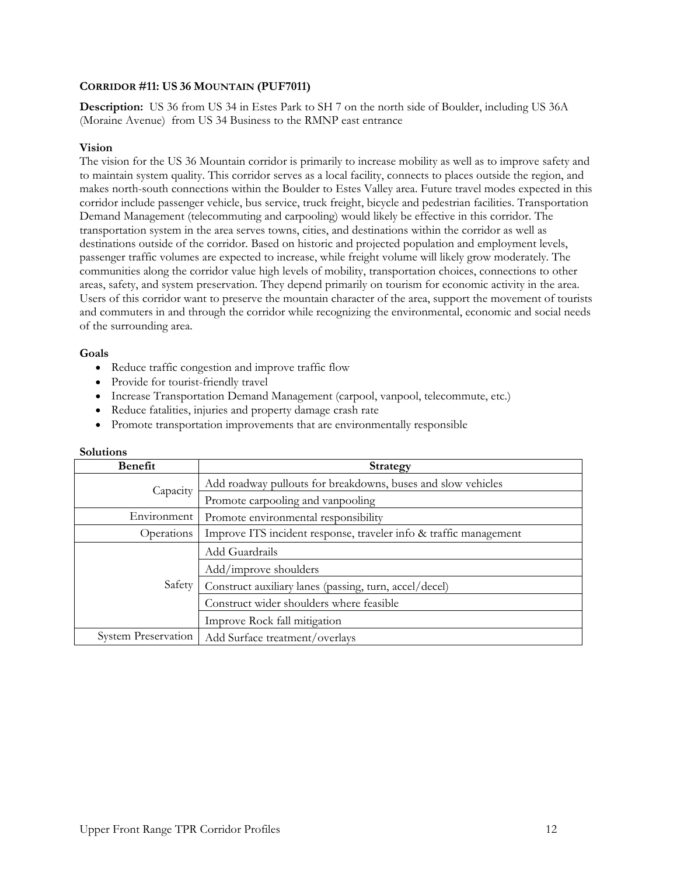# **CORRIDOR #11: US 36 MOUNTAIN (PUF7011)**

**Description:** US 36 from US 34 in Estes Park to SH 7 on the north side of Boulder, including US 36A (Moraine Avenue) from US 34 Business to the RMNP east entrance

### **Vision**

The vision for the US 36 Mountain corridor is primarily to increase mobility as well as to improve safety and to maintain system quality. This corridor serves as a local facility, connects to places outside the region, and makes north-south connections within the Boulder to Estes Valley area. Future travel modes expected in this corridor include passenger vehicle, bus service, truck freight, bicycle and pedestrian facilities. Transportation Demand Management (telecommuting and carpooling) would likely be effective in this corridor. The transportation system in the area serves towns, cities, and destinations within the corridor as well as destinations outside of the corridor. Based on historic and projected population and employment levels, passenger traffic volumes are expected to increase, while freight volume will likely grow moderately. The communities along the corridor value high levels of mobility, transportation choices, connections to other areas, safety, and system preservation. They depend primarily on tourism for economic activity in the area. Users of this corridor want to preserve the mountain character of the area, support the movement of tourists and commuters in and through the corridor while recognizing the environmental, economic and social needs of the surrounding area.

### **Goals**

- Reduce traffic congestion and improve traffic flow
- Provide for tourist-friendly travel
- Increase Transportation Demand Management (carpool, vanpool, telecommute, etc.)
- Reduce fatalities, injuries and property damage crash rate
- Promote transportation improvements that are environmentally responsible

| Benefit                    | <b>Strategy</b>                                                   |
|----------------------------|-------------------------------------------------------------------|
| Capacity                   | Add roadway pullouts for breakdowns, buses and slow vehicles      |
|                            | Promote carpooling and vanpooling                                 |
| Environment                | Promote environmental responsibility                              |
| Operations                 | Improve ITS incident response, traveler info & traffic management |
| Safety                     | Add Guardrails                                                    |
|                            | Add/improve shoulders                                             |
|                            | Construct auxiliary lanes (passing, turn, accel/decel)            |
|                            | Construct wider shoulders where feasible                          |
|                            | Improve Rock fall mitigation                                      |
| <b>System Preservation</b> | Add Surface treatment/overlays                                    |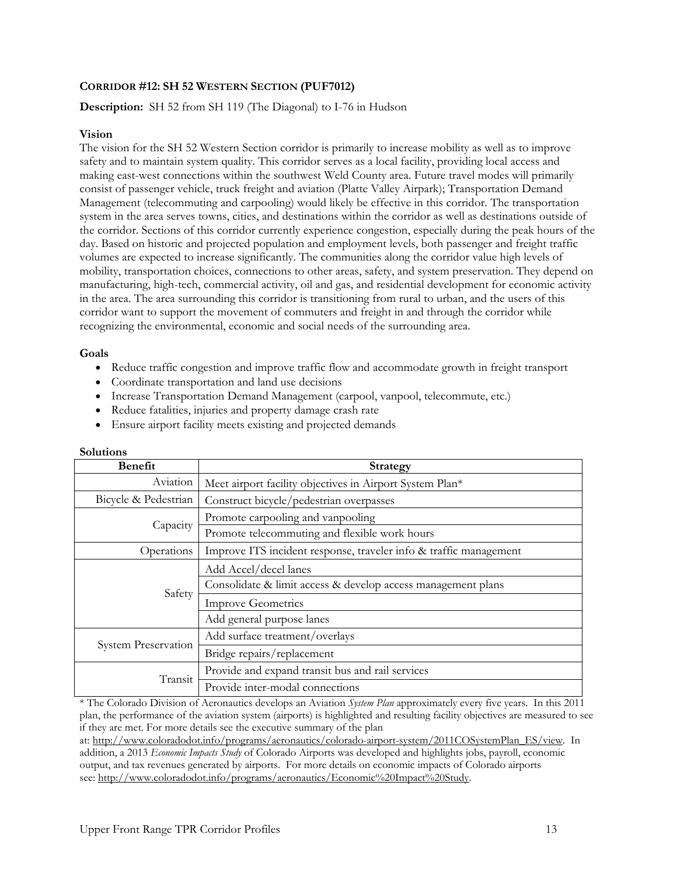# **CORRIDOR #12: SH 52 WESTERN SECTION (PUF7012)**

# **Description:** SH 52 from SH 119 (The Diagonal) to I-76 in Hudson

### **Vision**

The vision for the SH 52 Western Section corridor is primarily to increase mobility as well as to improve safety and to maintain system quality. This corridor serves as a local facility, providing local access and making east-west connections within the southwest Weld County area. Future travel modes will primarily consist of passenger vehicle, truck freight and aviation (Platte Valley Airpark); Transportation Demand Management (telecommuting and carpooling) would likely be effective in this corridor. The transportation system in the area serves towns, cities, and destinations within the corridor as well as destinations outside of the corridor. Sections of this corridor currently experience congestion, especially during the peak hours of the day. Based on historic and projected population and employment levels, both passenger and freight traffic volumes are expected to increase significantly. The communities along the corridor value high levels of mobility, transportation choices, connections to other areas, safety, and system preservation. They depend on manufacturing, high-tech, commercial activity, oil and gas, and residential development for economic activity in the area. The area surrounding this corridor is transitioning from rural to urban, and the users of this corridor want to support the movement of commuters and freight in and through the corridor while recognizing the environmental, economic and social needs of the surrounding area.

# **Goals**

- Reduce traffic congestion and improve traffic flow and accommodate growth in freight transport
- Coordinate transportation and land use decisions
- Increase Transportation Demand Management (carpool, vanpool, telecommute, etc.)
- Reduce fatalities, injuries and property damage crash rate
- Ensure airport facility meets existing and projected demands

| <b>Benefit</b>             | Strategy                                                          |
|----------------------------|-------------------------------------------------------------------|
| Aviation                   | Meet airport facility objectives in Airport System Plan*          |
| Bicycle & Pedestrian       | Construct bicycle/pedestrian overpasses                           |
| Capacity                   | Promote carpooling and vanpooling                                 |
|                            | Promote telecommuting and flexible work hours                     |
| Operations                 | Improve ITS incident response, traveler info & traffic management |
|                            | Add Accel/decel lanes                                             |
| Safety                     | Consolidate & limit access & develop access management plans      |
|                            | <b>Improve Geometrics</b>                                         |
|                            | Add general purpose lanes                                         |
|                            | Add surface treatment/overlays                                    |
| <b>System Preservation</b> | Bridge repairs/replacement                                        |
| Transit                    | Provide and expand transit bus and rail services                  |
|                            | Provide inter-modal connections                                   |

# **Solutions**

\* The Colorado Division of Aeronautics develops an Aviation *System Plan* approximately every five years. In this 2011 plan, the performance of the aviation system (airports) is highlighted and resulting facility objectives are measured to see if they are met. For more details see the executive summary of the plan

at: http://www.coloradodot.info/programs/aeronautics/colorado-airport-system/2011COSystemPlan\_ES/view. In addition, a 2013 *Economic Impacts Study* of Colorado Airports was developed and highlights jobs, payroll, economic output, and tax revenues generated by airports. For more details on economic impacts of Colorado airports see: http://www.coloradodot.info/programs/aeronautics/Economic%20Impact%20Study.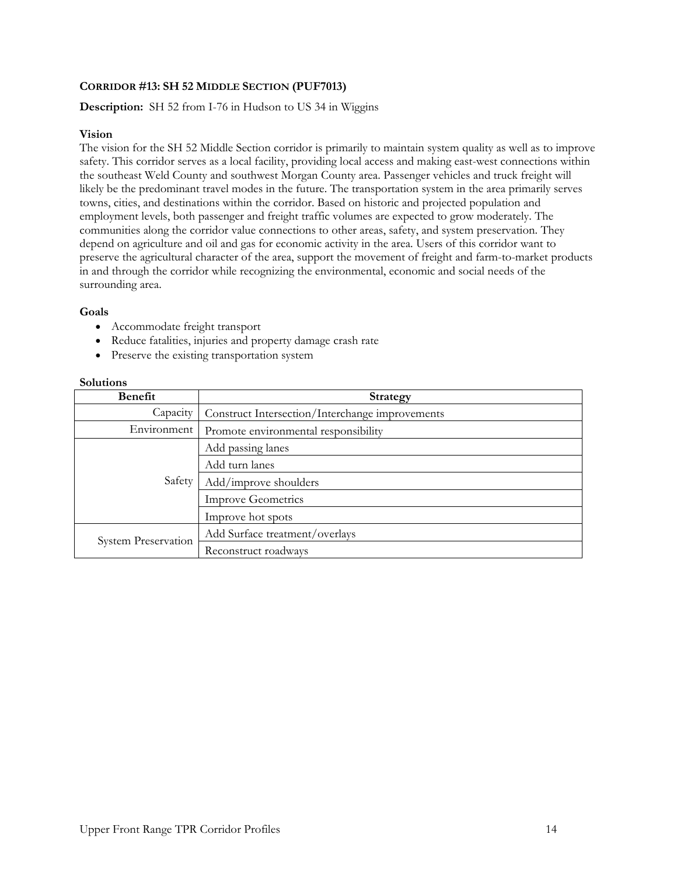# **CORRIDOR #13: SH 52 MIDDLE SECTION (PUF7013)**

# **Description:** SH 52 from I-76 in Hudson to US 34 in Wiggins

# **Vision**

The vision for the SH 52 Middle Section corridor is primarily to maintain system quality as well as to improve safety. This corridor serves as a local facility, providing local access and making east-west connections within the southeast Weld County and southwest Morgan County area. Passenger vehicles and truck freight will likely be the predominant travel modes in the future. The transportation system in the area primarily serves towns, cities, and destinations within the corridor. Based on historic and projected population and employment levels, both passenger and freight traffic volumes are expected to grow moderately. The communities along the corridor value connections to other areas, safety, and system preservation. They depend on agriculture and oil and gas for economic activity in the area. Users of this corridor want to preserve the agricultural character of the area, support the movement of freight and farm-to-market products in and through the corridor while recognizing the environmental, economic and social needs of the surrounding area.

### **Goals**

- Accommodate freight transport
- Reduce fatalities, injuries and property damage crash rate
- Preserve the existing transportation system

| Benefit                    | <b>Strategy</b>                                 |
|----------------------------|-------------------------------------------------|
| Capacity                   | Construct Intersection/Interchange improvements |
| Environment                | Promote environmental responsibility            |
| Safety                     | Add passing lanes                               |
|                            | Add turn lanes                                  |
|                            | Add/improve shoulders                           |
|                            | <b>Improve Geometrics</b>                       |
|                            | Improve hot spots                               |
| <b>System Preservation</b> | Add Surface treatment/overlays                  |
|                            | Reconstruct roadways                            |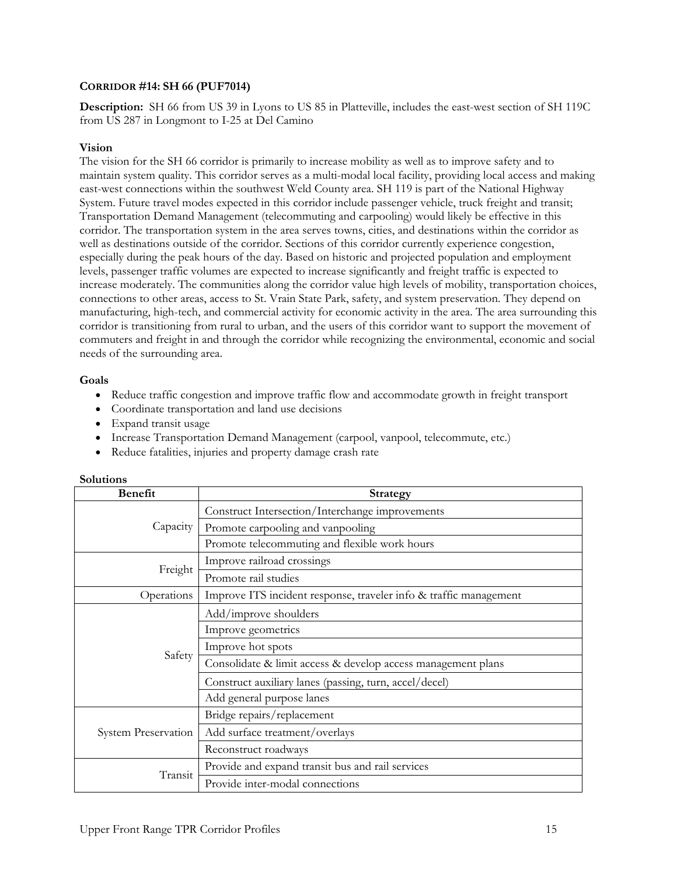# **CORRIDOR #14: SH 66 (PUF7014)**

**Description:** SH 66 from US 39 in Lyons to US 85 in Platteville, includes the east-west section of SH 119C from US 287 in Longmont to I-25 at Del Camino

### **Vision**

The vision for the SH 66 corridor is primarily to increase mobility as well as to improve safety and to maintain system quality. This corridor serves as a multi-modal local facility, providing local access and making east-west connections within the southwest Weld County area. SH 119 is part of the National Highway System. Future travel modes expected in this corridor include passenger vehicle, truck freight and transit; Transportation Demand Management (telecommuting and carpooling) would likely be effective in this corridor. The transportation system in the area serves towns, cities, and destinations within the corridor as well as destinations outside of the corridor. Sections of this corridor currently experience congestion, especially during the peak hours of the day. Based on historic and projected population and employment levels, passenger traffic volumes are expected to increase significantly and freight traffic is expected to increase moderately. The communities along the corridor value high levels of mobility, transportation choices, connections to other areas, access to St. Vrain State Park, safety, and system preservation. They depend on manufacturing, high-tech, and commercial activity for economic activity in the area. The area surrounding this corridor is transitioning from rural to urban, and the users of this corridor want to support the movement of commuters and freight in and through the corridor while recognizing the environmental, economic and social needs of the surrounding area.

# **Goals**

- Reduce traffic congestion and improve traffic flow and accommodate growth in freight transport
- Coordinate transportation and land use decisions
- Expand transit usage
- Increase Transportation Demand Management (carpool, vanpool, telecommute, etc.)
- Reduce fatalities, injuries and property damage crash rate

| <b>Benefit</b>             | <b>Strategy</b>                                                   |
|----------------------------|-------------------------------------------------------------------|
| Capacity                   | Construct Intersection/Interchange improvements                   |
|                            | Promote carpooling and vanpooling                                 |
|                            | Promote telecommuting and flexible work hours                     |
| Freight                    | Improve railroad crossings                                        |
|                            | Promote rail studies                                              |
| Operations                 | Improve ITS incident response, traveler info & traffic management |
|                            | Add/improve shoulders                                             |
|                            | Improve geometrics                                                |
| Safety                     | Improve hot spots                                                 |
|                            | Consolidate & limit access & develop access management plans      |
|                            | Construct auxiliary lanes (passing, turn, accel/decel)            |
|                            | Add general purpose lanes                                         |
| <b>System Preservation</b> | Bridge repairs/replacement                                        |
|                            | Add surface treatment/overlays                                    |
|                            | Reconstruct roadways                                              |
| Transit                    | Provide and expand transit bus and rail services                  |
|                            | Provide inter-modal connections                                   |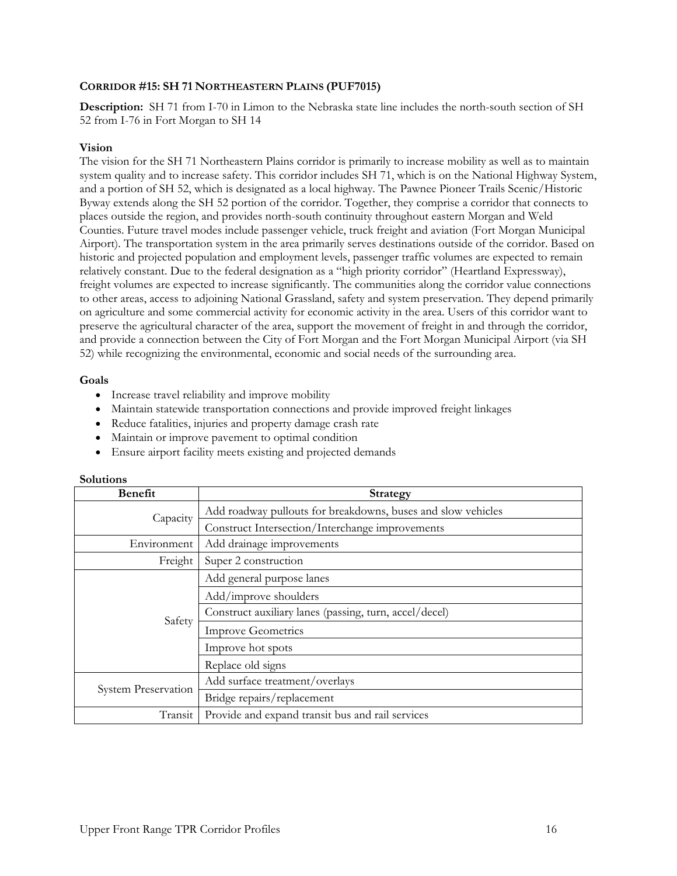# **CORRIDOR #15: SH 71 NORTHEASTERN PLAINS (PUF7015)**

**Description:** SH 71 from I-70 in Limon to the Nebraska state line includes the north-south section of SH 52 from I-76 in Fort Morgan to SH 14

### **Vision**

The vision for the SH 71 Northeastern Plains corridor is primarily to increase mobility as well as to maintain system quality and to increase safety. This corridor includes SH 71, which is on the National Highway System, and a portion of SH 52, which is designated as a local highway. The Pawnee Pioneer Trails Scenic/Historic Byway extends along the SH 52 portion of the corridor. Together, they comprise a corridor that connects to places outside the region, and provides north-south continuity throughout eastern Morgan and Weld Counties. Future travel modes include passenger vehicle, truck freight and aviation (Fort Morgan Municipal Airport). The transportation system in the area primarily serves destinations outside of the corridor. Based on historic and projected population and employment levels, passenger traffic volumes are expected to remain relatively constant. Due to the federal designation as a "high priority corridor" (Heartland Expressway), freight volumes are expected to increase significantly. The communities along the corridor value connections to other areas, access to adjoining National Grassland, safety and system preservation. They depend primarily on agriculture and some commercial activity for economic activity in the area. Users of this corridor want to preserve the agricultural character of the area, support the movement of freight in and through the corridor, and provide a connection between the City of Fort Morgan and the Fort Morgan Municipal Airport (via SH 52) while recognizing the environmental, economic and social needs of the surrounding area.

# **Goals**

- Increase travel reliability and improve mobility
- Maintain statewide transportation connections and provide improved freight linkages
- Reduce fatalities, injuries and property damage crash rate
- Maintain or improve pavement to optimal condition
- Ensure airport facility meets existing and projected demands

| <b>Benefit</b>             | <b>Strategy</b>                                              |
|----------------------------|--------------------------------------------------------------|
| Capacity                   | Add roadway pullouts for breakdowns, buses and slow vehicles |
|                            | Construct Intersection/Interchange improvements              |
| Environment                | Add drainage improvements                                    |
| Freight                    | Super 2 construction                                         |
| Safety                     | Add general purpose lanes                                    |
|                            | Add/improve shoulders                                        |
|                            | Construct auxiliary lanes (passing, turn, accel/decel)       |
|                            | <b>Improve Geometrics</b>                                    |
|                            | Improve hot spots                                            |
|                            | Replace old signs                                            |
| <b>System Preservation</b> | Add surface treatment/overlays                               |
|                            | Bridge repairs/replacement                                   |
| Transit                    | Provide and expand transit bus and rail services             |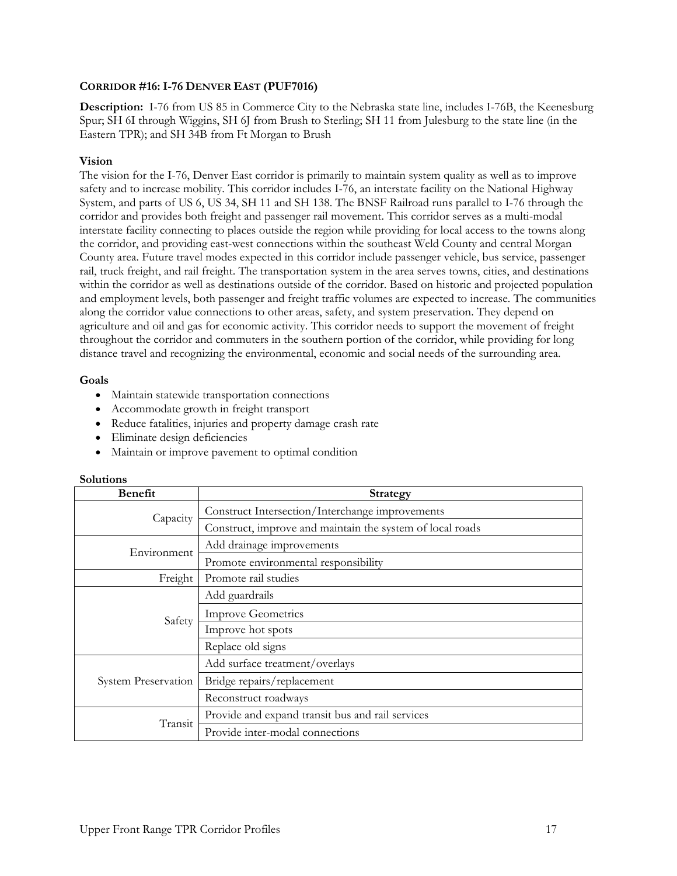# **CORRIDOR #16: I-76 DENVER EAST (PUF7016)**

**Description:** I-76 from US 85 in Commerce City to the Nebraska state line, includes I-76B, the Keenesburg Spur; SH 6I through Wiggins, SH 6J from Brush to Sterling; SH 11 from Julesburg to the state line (in the Eastern TPR); and SH 34B from Ft Morgan to Brush

# **Vision**

The vision for the I-76, Denver East corridor is primarily to maintain system quality as well as to improve safety and to increase mobility. This corridor includes I-76, an interstate facility on the National Highway System, and parts of US 6, US 34, SH 11 and SH 138. The BNSF Railroad runs parallel to I-76 through the corridor and provides both freight and passenger rail movement. This corridor serves as a multi-modal interstate facility connecting to places outside the region while providing for local access to the towns along the corridor, and providing east-west connections within the southeast Weld County and central Morgan County area. Future travel modes expected in this corridor include passenger vehicle, bus service, passenger rail, truck freight, and rail freight. The transportation system in the area serves towns, cities, and destinations within the corridor as well as destinations outside of the corridor. Based on historic and projected population and employment levels, both passenger and freight traffic volumes are expected to increase. The communities along the corridor value connections to other areas, safety, and system preservation. They depend on agriculture and oil and gas for economic activity. This corridor needs to support the movement of freight throughout the corridor and commuters in the southern portion of the corridor, while providing for long distance travel and recognizing the environmental, economic and social needs of the surrounding area.

### **Goals**

- Maintain statewide transportation connections
- Accommodate growth in freight transport
- Reduce fatalities, injuries and property damage crash rate
- Eliminate design deficiencies
- Maintain or improve pavement to optimal condition

| <b>Benefit</b>      | <b>Strategy</b>                                           |
|---------------------|-----------------------------------------------------------|
| Capacity            | Construct Intersection/Interchange improvements           |
|                     | Construct, improve and maintain the system of local roads |
| Environment         | Add drainage improvements                                 |
|                     | Promote environmental responsibility                      |
| Freight             | Promote rail studies                                      |
| Safety              | Add guardrails                                            |
|                     | <b>Improve Geometrics</b>                                 |
|                     | Improve hot spots                                         |
|                     | Replace old signs                                         |
| System Preservation | Add surface treatment/overlays                            |
|                     | Bridge repairs/replacement                                |
|                     | Reconstruct roadways                                      |
| Transit             | Provide and expand transit bus and rail services          |
|                     | Provide inter-modal connections                           |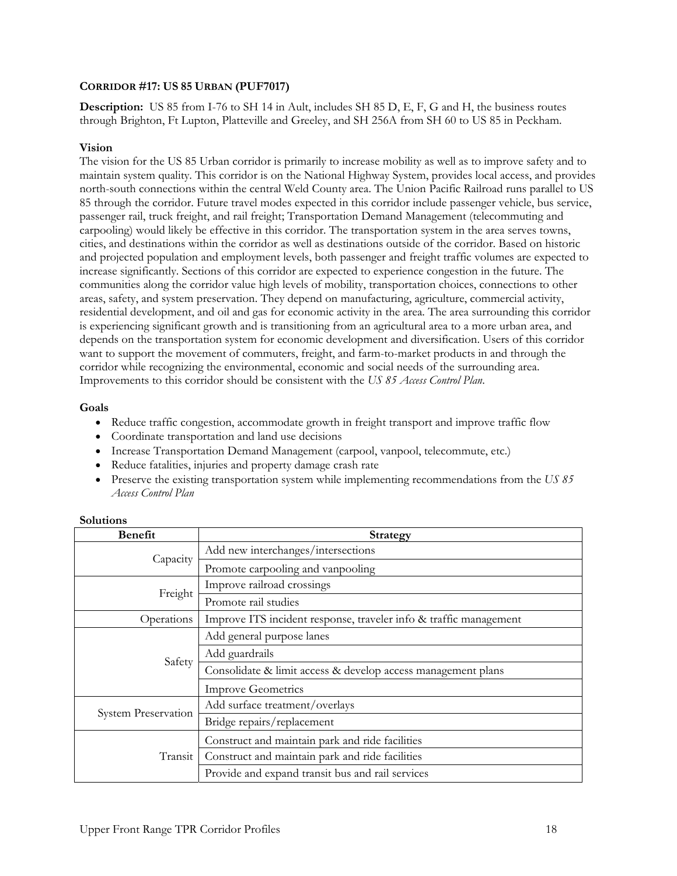# **CORRIDOR #17: US 85 URBAN (PUF7017)**

**Description:** US 85 from I-76 to SH 14 in Ault, includes SH 85 D, E, F, G and H, the business routes through Brighton, Ft Lupton, Platteville and Greeley, and SH 256A from SH 60 to US 85 in Peckham.

### **Vision**

The vision for the US 85 Urban corridor is primarily to increase mobility as well as to improve safety and to maintain system quality. This corridor is on the National Highway System, provides local access, and provides north-south connections within the central Weld County area. The Union Pacific Railroad runs parallel to US 85 through the corridor. Future travel modes expected in this corridor include passenger vehicle, bus service, passenger rail, truck freight, and rail freight; Transportation Demand Management (telecommuting and carpooling) would likely be effective in this corridor. The transportation system in the area serves towns, cities, and destinations within the corridor as well as destinations outside of the corridor. Based on historic and projected population and employment levels, both passenger and freight traffic volumes are expected to increase significantly. Sections of this corridor are expected to experience congestion in the future. The communities along the corridor value high levels of mobility, transportation choices, connections to other areas, safety, and system preservation. They depend on manufacturing, agriculture, commercial activity, residential development, and oil and gas for economic activity in the area. The area surrounding this corridor is experiencing significant growth and is transitioning from an agricultural area to a more urban area, and depends on the transportation system for economic development and diversification. Users of this corridor want to support the movement of commuters, freight, and farm-to-market products in and through the corridor while recognizing the environmental, economic and social needs of the surrounding area. Improvements to this corridor should be consistent with the *US 85 Access Control Plan*.

# **Goals**

- Reduce traffic congestion, accommodate growth in freight transport and improve traffic flow
- Coordinate transportation and land use decisions
- Increase Transportation Demand Management (carpool, vanpool, telecommute, etc.)
- Reduce fatalities, injuries and property damage crash rate
- Preserve the existing transportation system while implementing recommendations from the *US 85 Access Control Plan*

| Benefit                    | <b>Strategy</b>                                                   |
|----------------------------|-------------------------------------------------------------------|
| Capacity                   | Add new interchanges/intersections                                |
|                            | Promote carpooling and vanpooling                                 |
| Freight                    | Improve railroad crossings                                        |
|                            | Promote rail studies                                              |
| Operations                 | Improve ITS incident response, traveler info & traffic management |
|                            | Add general purpose lanes                                         |
| Safety                     | Add guardrails                                                    |
|                            | Consolidate & limit access & develop access management plans      |
|                            | <b>Improve Geometrics</b>                                         |
| <b>System Preservation</b> | Add surface treatment/overlays                                    |
|                            | Bridge repairs/replacement                                        |
| Transit                    | Construct and maintain park and ride facilities                   |
|                            | Construct and maintain park and ride facilities                   |
|                            | Provide and expand transit bus and rail services                  |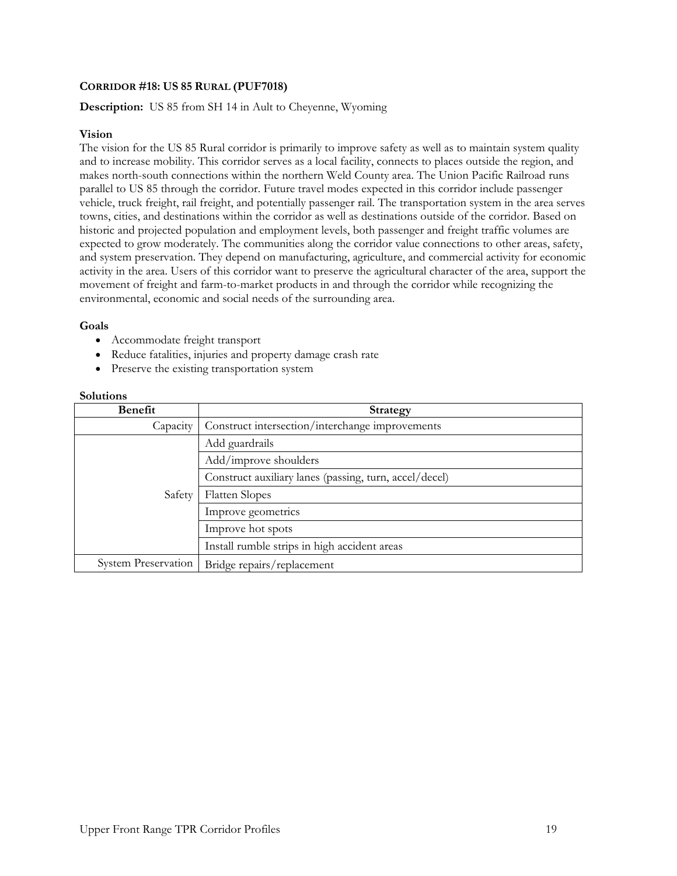# **CORRIDOR #18: US 85 RURAL (PUF7018)**

# **Description:** US 85 from SH 14 in Ault to Cheyenne, Wyoming

### **Vision**

The vision for the US 85 Rural corridor is primarily to improve safety as well as to maintain system quality and to increase mobility. This corridor serves as a local facility, connects to places outside the region, and makes north-south connections within the northern Weld County area. The Union Pacific Railroad runs parallel to US 85 through the corridor. Future travel modes expected in this corridor include passenger vehicle, truck freight, rail freight, and potentially passenger rail. The transportation system in the area serves towns, cities, and destinations within the corridor as well as destinations outside of the corridor. Based on historic and projected population and employment levels, both passenger and freight traffic volumes are expected to grow moderately. The communities along the corridor value connections to other areas, safety, and system preservation. They depend on manufacturing, agriculture, and commercial activity for economic activity in the area. Users of this corridor want to preserve the agricultural character of the area, support the movement of freight and farm-to-market products in and through the corridor while recognizing the environmental, economic and social needs of the surrounding area.

### **Goals**

- Accommodate freight transport
- Reduce fatalities, injuries and property damage crash rate
- Preserve the existing transportation system

| <b>Benefit</b>             | <b>Strategy</b>                                        |
|----------------------------|--------------------------------------------------------|
| Capacity                   | Construct intersection/interchange improvements        |
| Safety                     | Add guardrails                                         |
|                            | Add/improve shoulders                                  |
|                            | Construct auxiliary lanes (passing, turn, accel/decel) |
|                            | <b>Flatten Slopes</b>                                  |
|                            | Improve geometrics                                     |
|                            | Improve hot spots                                      |
|                            | Install rumble strips in high accident areas           |
| <b>System Preservation</b> | Bridge repairs/replacement                             |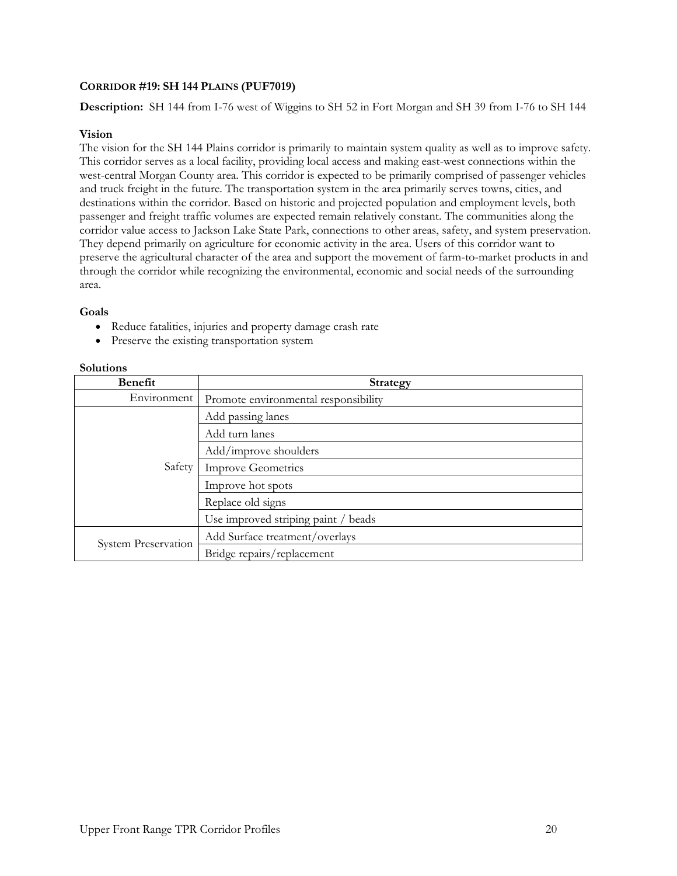# **CORRIDOR #19: SH 144 PLAINS (PUF7019)**

**Description:** SH 144 from I-76 west of Wiggins to SH 52 in Fort Morgan and SH 39 from I-76 to SH 144

# **Vision**

The vision for the SH 144 Plains corridor is primarily to maintain system quality as well as to improve safety. This corridor serves as a local facility, providing local access and making east-west connections within the west-central Morgan County area. This corridor is expected to be primarily comprised of passenger vehicles and truck freight in the future. The transportation system in the area primarily serves towns, cities, and destinations within the corridor. Based on historic and projected population and employment levels, both passenger and freight traffic volumes are expected remain relatively constant. The communities along the corridor value access to Jackson Lake State Park, connections to other areas, safety, and system preservation. They depend primarily on agriculture for economic activity in the area. Users of this corridor want to preserve the agricultural character of the area and support the movement of farm-to-market products in and through the corridor while recognizing the environmental, economic and social needs of the surrounding area.

### **Goals**

- Reduce fatalities, injuries and property damage crash rate
- Preserve the existing transportation system

| <b>Benefit</b>             | Strategy                             |
|----------------------------|--------------------------------------|
| Environment                | Promote environmental responsibility |
| Safety                     | Add passing lanes                    |
|                            | Add turn lanes                       |
|                            | Add/improve shoulders                |
|                            | <b>Improve Geometrics</b>            |
|                            | Improve hot spots                    |
|                            | Replace old signs                    |
|                            | Use improved striping paint / beads  |
| <b>System Preservation</b> | Add Surface treatment/overlays       |
|                            | Bridge repairs/replacement           |